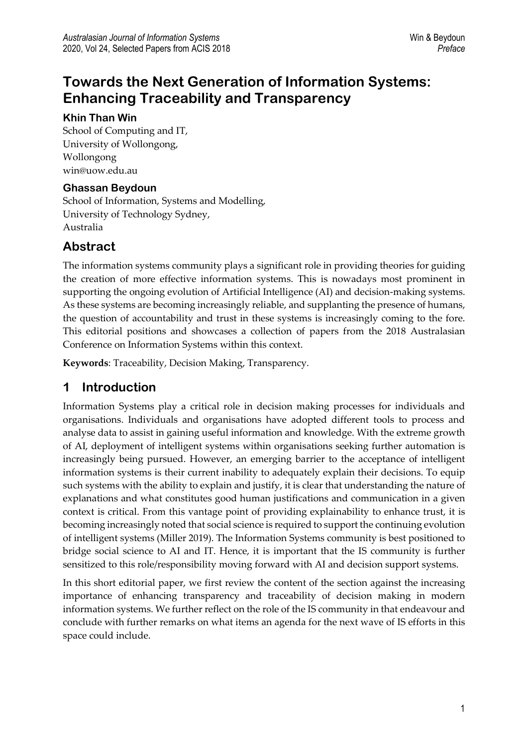# **Towards the Next Generation of Information Systems: Enhancing Traceability and Transparency**

#### **Khin Than Win**

School of Computing and IT, University of Wollongong, Wollongong win@uow.edu.au

#### **Ghassan Beydoun**

School of Information, Systems and Modelling, University of Technology Sydney, Australia

#### **Abstract**

The information systems community plays a significant role in providing theories for guiding the creation of more effective information systems. This is nowadays most prominent in supporting the ongoing evolution of Artificial Intelligence (AI) and decision-making systems. As these systems are becoming increasingly reliable, and supplanting the presence of humans, the question of accountability and trust in these systems is increasingly coming to the fore. This editorial positions and showcases a collection of papers from the 2018 Australasian Conference on Information Systems within this context.

**Keywords**: Traceability, Decision Making, Transparency.

### **1 Introduction**

Information Systems play a critical role in decision making processes for individuals and organisations. Individuals and organisations have adopted different tools to process and analyse data to assist in gaining useful information and knowledge. With the extreme growth of AI, deployment of intelligent systems within organisations seeking further automation is increasingly being pursued. However, an emerging barrier to the acceptance of intelligent information systems is their current inability to adequately explain their decisions. To equip such systems with the ability to explain and justify, it is clear that understanding the nature of explanations and what constitutes good human justifications and communication in a given context is critical. From this vantage point of providing explainability to enhance trust, it is becoming increasingly noted that social science is required to support the continuing evolution of intelligent systems (Miller 2019). The Information Systems community is best positioned to bridge social science to AI and IT. Hence, it is important that the IS community is further sensitized to this role/responsibility moving forward with AI and decision support systems.

In this short editorial paper, we first review the content of the section against the increasing importance of enhancing transparency and traceability of decision making in modern information systems. We further reflect on the role of the IS community in that endeavour and conclude with further remarks on what items an agenda for the next wave of IS efforts in this space could include.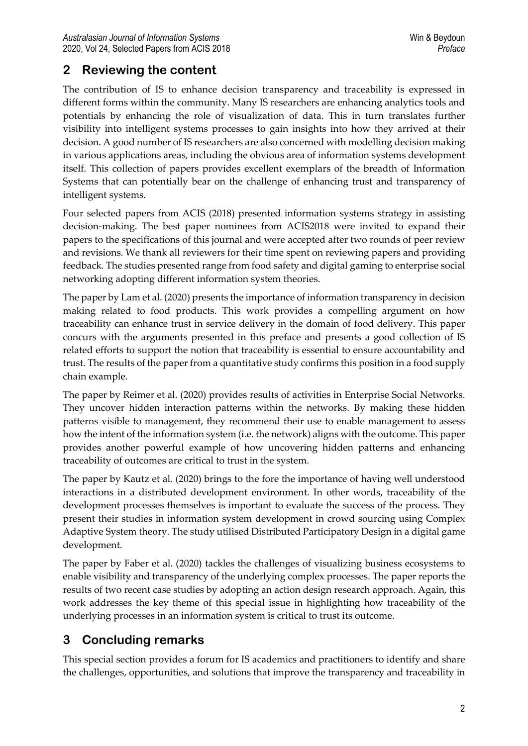## **2 Reviewing the content**

The contribution of IS to enhance decision transparency and traceability is expressed in different forms within the community. Many IS researchers are enhancing analytics tools and potentials by enhancing the role of visualization of data. This in turn translates further visibility into intelligent systems processes to gain insights into how they arrived at their decision. A good number of IS researchers are also concerned with modelling decision making in various applications areas, including the obvious area of information systems development itself. This collection of papers provides excellent exemplars of the breadth of Information Systems that can potentially bear on the challenge of enhancing trust and transparency of intelligent systems.

Four selected papers from ACIS (2018) presented information systems strategy in assisting decision-making. The best paper nominees from ACIS2018 were invited to expand their papers to the specifications of this journal and were accepted after two rounds of peer review and revisions. We thank all reviewers for their time spent on reviewing papers and providing feedback. The studies presented range from food safety and digital gaming to enterprise social networking adopting different information system theories.

The paper by Lam et al. (2020) presents the importance of information transparency in decision making related to food products. This work provides a compelling argument on how traceability can enhance trust in service delivery in the domain of food delivery. This paper concurs with the arguments presented in this preface and presents a good collection of IS related efforts to support the notion that traceability is essential to ensure accountability and trust. The results of the paper from a quantitative study confirms this position in a food supply chain example.

The paper by Reimer et al. (2020) provides results of activities in Enterprise Social Networks. They uncover hidden interaction patterns within the networks. By making these hidden patterns visible to management, they recommend their use to enable management to assess how the intent of the information system (i.e. the network) aligns with the outcome. This paper provides another powerful example of how uncovering hidden patterns and enhancing traceability of outcomes are critical to trust in the system.

The paper by Kautz et al. (2020) brings to the fore the importance of having well understood interactions in a distributed development environment. In other words, traceability of the development processes themselves is important to evaluate the success of the process. They present their studies in information system development in crowd sourcing using Complex Adaptive System theory. The study utilised Distributed Participatory Design in a digital game development.

The paper by Faber et al. (2020) tackles the challenges of visualizing business ecosystems to enable visibility and transparency of the underlying complex processes. The paper reports the results of two recent case studies by adopting an action design research approach. Again, this work addresses the key theme of this special issue in highlighting how traceability of the underlying processes in an information system is critical to trust its outcome.

## **3 Concluding remarks**

This special section provides a forum for IS academics and practitioners to identify and share the challenges, opportunities, and solutions that improve the transparency and traceability in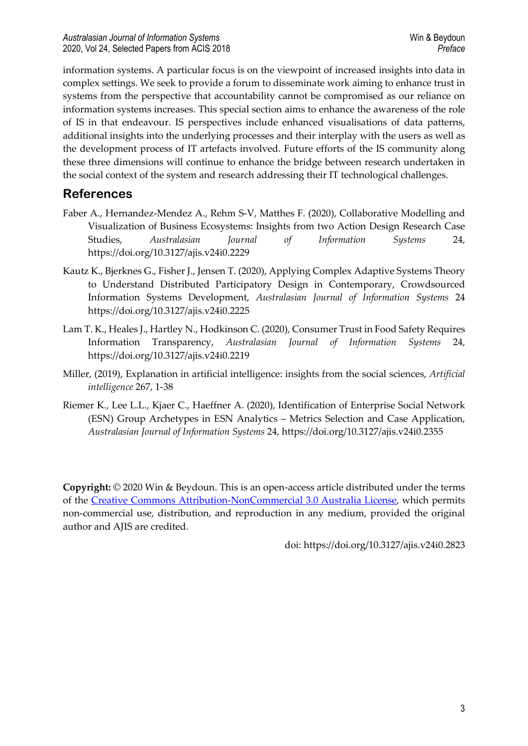information systems. A particular focus is on the viewpoint of increased insights into data in complex settings. We seek to provide a forum to disseminate work aiming to enhance trust in systems from the perspective that accountability cannot be compromised as our reliance on information systems increases. This special section aims to enhance the awareness of the role of IS in that endeavour. IS perspectives include enhanced visualisations of data patterns, additional insights into the underlying processes and their interplay with the users as well as the development process of IT artefacts involved. Future efforts of the IS community along these three dimensions will continue to enhance the bridge between research undertaken in the social context of the system and research addressing their IT technological challenges.

### **References**

- Faber A., Hernandez-Mendez A., Rehm S-V, Matthes F. (2020), Collaborative Modelling and Visualization of Business Ecosystems: Insights from two Action Design Research Case Studies, *Australasian Journal of Information Systems* 24, https://doi.org/10.3127/ajis.v24i0.2229
- Kautz K., Bjerknes G., Fisher J., Jensen T. (2020), Applying Complex Adaptive Systems Theory to Understand Distributed Participatory Design in Contemporary, Crowdsourced Information Systems Development, *Australasian Journal of Information Systems* 24 https://doi.org/10.3127/ajis.v24i0.2225
- Lam T. K., Heales J., Hartley N., Hodkinson C. (2020), Consumer Trust in Food Safety Requires Information Transparency, *Australasian Journal of Information Systems* 24, https://doi.org/10.3127/ajis.v24i0.2219
- Miller, (2019), Explanation in artificial intelligence: insights from the social sciences, *Artificial intelligence* 267, 1-38
- Riemer K., Lee L.L., Kjaer C., Haeffner A. (2020), Identification of Enterprise Social Network (ESN) Group Archetypes in ESN Analytics – Metrics Selection and Case Application, *Australasian Journal of Information Systems* 24, https://doi.org/10.3127/ajis.v24i0.2355

**Copyright:** © 2020 Win & Beydoun. This is an open-access article distributed under the terms of the Creative Commons [Attribution-NonCommercial](http://creativecommons.org/licenses/by-nc/3.0/au/) 3.0 Australia License, which permits non-commercial use, distribution, and reproduction in any medium, provided the original author and AJIS are credited.

doi: https://doi.org/10.3127/ajis.v24i0.2823